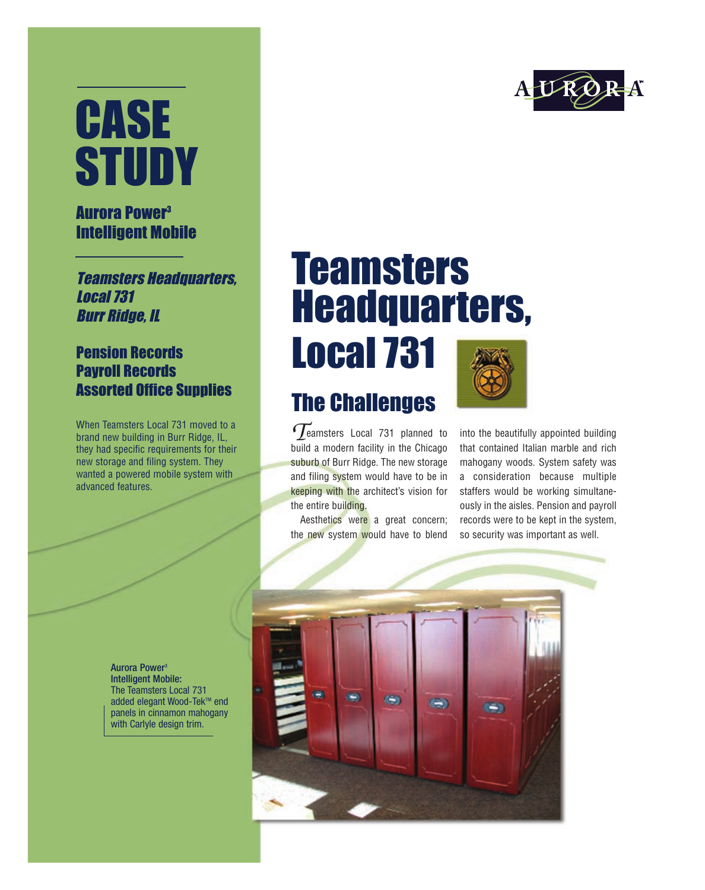# CASE **STUDY**

#### Aurora Power3 Intelligent Mobile

**Teamsters Headquarters,** Local 731 Burr Ridge, IL

#### Pension Records Payroll Records Assorted Office Supplies

When Teamsters Local 731 moved to a brand new building in Burr Ridge, IL, they had specific requirements for their new storage and filing system. They wanted a powered mobile system with advanced features.

### **Teamsters** Headquarters,

Local 731

### The Challenges

eamsters Local 731 planned to build a modern facility in the Chicago suburb of Burr Ridge. The new storage and filing system would have to be in keeping with the architect's vision for the entire building. *T*

Aesthetics were a great concern; the new system would have to blend

into the beautifully appointed building that contained Italian marble and rich mahogany woods. System safety was a consideration because multiple staffers would be working simultaneously in the aisles. Pension and payroll records were to be kept in the system, so security was important as well.